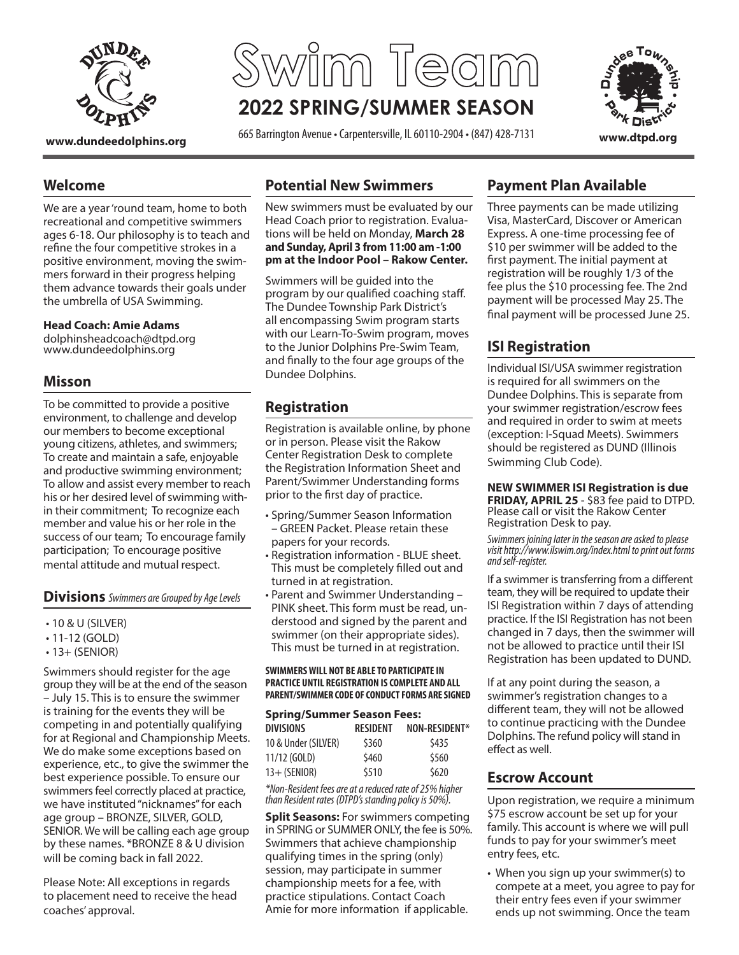

# **2022 SPRING/SUMMER SEASON Swim Team**

**www.dundeedolphins.org** 665 Barrington Avenue • Carpentersville, IL 60110-2904 • (847) 428-7131 **www.dtpd.org**



#### **Potential New Swimmers**

New swimmers must be evaluated by our Head Coach prior to registration. Evaluations will be held on Monday, **March 28 and Sunday, April 3 from 11:00 am -1:00 pm at the Indoor Pool – Rakow Center.** 

Swimmers will be guided into the program by our qualified coaching staff. The Dundee Township Park District's all encompassing Swim program starts with our Learn-To-Swim program, moves to the Junior Dolphins Pre-Swim Team, and finally to the four age groups of the Dundee Dolphins.

# **Registration**

Registration is available online, by phone or in person. Please visit the Rakow Center Registration Desk to complete the Registration Information Sheet and Parent/Swimmer Understanding forms prior to the first day of practice.

- Spring/Summer Season Information – GREEN Packet. Please retain these papers for your records.
- Registration information BLUE sheet. This must be completely filled out and turned in at registration.
- Parent and Swimmer Understanding PINK sheet. This form must be read, understood and signed by the parent and swimmer (on their appropriate sides). This must be turned in at registration.

#### **SWIMMERS WILL NOT BE ABLE TO PARTICIPATE IN PRACTICE UNTIL REGISTRATION IS COMPLETE AND ALL PARENT/SWIMMER CODE OF CONDUCT FORMS ARE SIGNED**

| <b>Spring/Summer Season Fees:</b> |                 |               |  |  |  |  |
|-----------------------------------|-----------------|---------------|--|--|--|--|
| <b>DIVISIONS</b>                  | <b>RESIDENT</b> | NON-RESIDENT* |  |  |  |  |
| 10 & Under (SILVER)               | \$360           | \$435         |  |  |  |  |
| 11/12 (GOLD)                      | \$460           | \$560         |  |  |  |  |
| $13+$ (SENIOR)                    | \$510           | \$620         |  |  |  |  |

*\*Non-Resident fees are at a reduced rate of 25% higher than Resident rates (DTPD's standing policy is 50%).*

**Split Seasons:** For swimmers competing in SPRING or SUMMER ONLY, the fee is 50%. Swimmers that achieve championship qualifying times in the spring (only) session, may participate in summer championship meets for a fee, with practice stipulations. Contact Coach Amie for more information if applicable.

#### **Payment Plan Available**

Three payments can be made utilizing Visa, MasterCard, Discover or American Express. A one-time processing fee of \$10 per swimmer will be added to the first payment. The initial payment at registration will be roughly 1/3 of the fee plus the \$10 processing fee. The 2nd payment will be processed May 25. The final payment will be processed June 25.

# **ISI Registration**

Individual ISI/USA swimmer registration is required for all swimmers on the Dundee Dolphins. This is separate from your swimmer registration/escrow fees and required in order to swim at meets (exception: I-Squad Meets). Swimmers should be registered as DUND (Illinois Swimming Club Code).

**NEW SWIMMER ISI Registration is due FRIDAY, APRIL 25** - \$83 fee paid to DTPD. Please call or visit the Rakow Center Registration Desk to pay.

*Swimmers joining later in the season are asked to please visit http://www.ilswim.org/index.html to print out forms and self-register.* 

If a swimmer is transferring from a different team, they will be required to update their ISI Registration within 7 days of attending practice. If the ISI Registration has not been changed in 7 days, then the swimmer will not be allowed to practice until their ISI Registration has been updated to DUND.

If at any point during the season, a swimmer's registration changes to a different team, they will not be allowed to continue practicing with the Dundee Dolphins. The refund policy will stand in effect as well.

#### **Escrow Account**

Upon registration, we require a minimum \$75 escrow account be set up for your family. This account is where we will pull funds to pay for your swimmer's meet entry fees, etc.

• When you sign up your swimmer(s) to compete at a meet, you agree to pay for their entry fees even if your swimmer ends up not swimming. Once the team

ages 6-18. Our philosophy is to teach and

**Welcome**

refine the four competitive strokes in a positive environment, moving the swimmers forward in their progress helping them advance towards their goals under the umbrella of USA Swimming.

We are a year 'round team, home to both recreational and competitive swimmers

#### **Head Coach: Amie Adams**

dolphinsheadcoach@dtpd.org www.dundeedolphins.org

#### **Misson**

To be committed to provide a positive environment, to challenge and develop our members to become exceptional young citizens, athletes, and swimmers; To create and maintain a safe, enjoyable and productive swimming environment; To allow and assist every member to reach his or her desired level of swimming within their commitment; To recognize each member and value his or her role in the success of our team; To encourage family participation; To encourage positive mental attitude and mutual respect.

**Divisions** *Swimmers are Grouped by Age Levels*

- 10 & U (SILVER)
- 11-12 (GOLD)
- $\cdot$  13+ (SENIOR)

Swimmers should register for the age group they will be at the end of the season – July 15. This is to ensure the swimmer is training for the events they will be competing in and potentially qualifying for at Regional and Championship Meets. We do make some exceptions based on experience, etc., to give the swimmer the best experience possible. To ensure our swimmers feel correctly placed at practice, we have instituted "nicknames" for each age group – BRONZE, SILVER, GOLD, SENIOR. We will be calling each age group by these names. \*BRONZE 8 & U division will be coming back in fall 2022.

Please Note: All exceptions in regards to placement need to receive the head coaches' approval.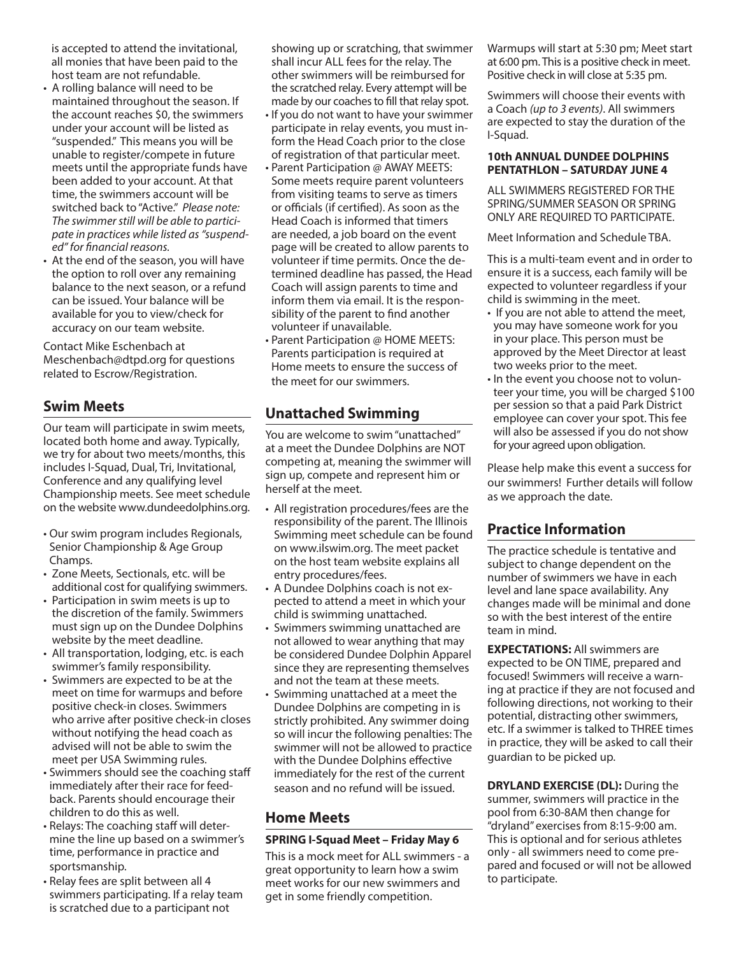is accepted to attend the invitational, all monies that have been paid to the host team are not refundable.

- A rolling balance will need to be maintained throughout the season. If the account reaches \$0, the swimmers under your account will be listed as "suspended." This means you will be unable to register/compete in future meets until the appropriate funds have been added to your account. At that time, the swimmers account will be switched back to "Active." *Please note: The swimmer still will be able to participate in practices while listed as "suspended" for financial reasons.*
- At the end of the season, you will have the option to roll over any remaining balance to the next season, or a refund can be issued. Your balance will be available for you to view/check for accuracy on our team website.

Contact Mike Eschenbach at Meschenbach@dtpd.org for questions related to Escrow/Registration.

#### **Swim Meets**

Our team will participate in swim meets, located both home and away. Typically, we try for about two meets/months, this includes I-Squad, Dual, Tri, Invitational, Conference and any qualifying level Championship meets. See meet schedule on the website www.dundeedolphins.org.

- Our swim program includes Regionals, Senior Championship & Age Group Champs.
- Zone Meets, Sectionals, etc. will be additional cost for qualifying swimmers.
- Participation in swim meets is up to the discretion of the family. Swimmers must sign up on the Dundee Dolphins website by the meet deadline.
- All transportation, lodging, etc. is each swimmer's family responsibility.
- Swimmers are expected to be at the meet on time for warmups and before positive check-in closes. Swimmers who arrive after positive check-in closes without notifying the head coach as advised will not be able to swim the meet per USA Swimming rules.
- Swimmers should see the coaching staff immediately after their race for feedback. Parents should encourage their children to do this as well.
- Relays: The coaching staff will determine the line up based on a swimmer's time, performance in practice and sportsmanship.
- Relay fees are split between all 4 swimmers participating. If a relay team is scratched due to a participant not

showing up or scratching, that swimmer shall incur ALL fees for the relay. The other swimmers will be reimbursed for the scratched relay. Every attempt will be made by our coaches to fill that relay spot.

- If you do not want to have your swimmer participate in relay events, you must inform the Head Coach prior to the close of registration of that particular meet.
- Parent Participation @ AWAY MEETS: Some meets require parent volunteers from visiting teams to serve as timers or officials (if certified). As soon as the Head Coach is informed that timers are needed, a job board on the event page will be created to allow parents to volunteer if time permits. Once the determined deadline has passed, the Head Coach will assign parents to time and inform them via email. It is the responsibility of the parent to find another volunteer if unavailable.
- Parent Participation @ HOME MEETS: Parents participation is required at Home meets to ensure the success of the meet for our swimmers.

#### **Unattached Swimming**

You are welcome to swim "unattached" at a meet the Dundee Dolphins are NOT competing at, meaning the swimmer will sign up, compete and represent him or herself at the meet.

- All registration procedures/fees are the responsibility of the parent. The Illinois Swimming meet schedule can be found on www.ilswim.org. The meet packet on the host team website explains all entry procedures/fees.
- A Dundee Dolphins coach is not expected to attend a meet in which your child is swimming unattached.
- Swimmers swimming unattached are not allowed to wear anything that may be considered Dundee Dolphin Apparel since they are representing themselves and not the team at these meets.
- Swimming unattached at a meet the Dundee Dolphins are competing in is strictly prohibited. Any swimmer doing so will incur the following penalties: The swimmer will not be allowed to practice with the Dundee Dolphins effective immediately for the rest of the current season and no refund will be issued.

#### **Home Meets**

#### **SPRING I-Squad Meet – Friday May 6**

This is a mock meet for ALL swimmers - a great opportunity to learn how a swim meet works for our new swimmers and get in some friendly competition.

Warmups will start at 5:30 pm; Meet start at 6:00 pm. This is a positive check in meet. Positive check in will close at 5:35 pm.

Swimmers will choose their events with a Coach *(up to 3 events)*. All swimmers are expected to stay the duration of the I-Squad.

#### **10th ANNUAL DUNDEE DOLPHINS PENTATHLON – SATURDAY JUNE 4**

ALL SWIMMERS REGISTERED FOR THE SPRING/SUMMER SEASON OR SPRING ONLY ARE REQUIRED TO PARTICIPATE.

Meet Information and Schedule TBA.

This is a multi-team event and in order to ensure it is a success, each family will be expected to volunteer regardless if your child is swimming in the meet.

- If you are not able to attend the meet, you may have someone work for you in your place. This person must be approved by the Meet Director at least two weeks prior to the meet.
- In the event you choose not to volunteer your time, you will be charged \$100 per session so that a paid Park District employee can cover your spot. This fee will also be assessed if you do not show for your agreed upon obligation.

Please help make this event a success for our swimmers! Further details will follow as we approach the date.

# **Practice Information**

The practice schedule is tentative and subject to change dependent on the number of swimmers we have in each level and lane space availability. Any changes made will be minimal and done so with the best interest of the entire team in mind.

**EXPECTATIONS:** All swimmers are expected to be ON TIME, prepared and focused! Swimmers will receive a warning at practice if they are not focused and following directions, not working to their potential, distracting other swimmers, etc. If a swimmer is talked to THREE times in practice, they will be asked to call their guardian to be picked up.

**DRYLAND EXERCISE (DL):** During the summer, swimmers will practice in the pool from 6:30-8AM then change for "dryland" exercises from 8:15-9:00 am. This is optional and for serious athletes only - all swimmers need to come prepared and focused or will not be allowed to participate.